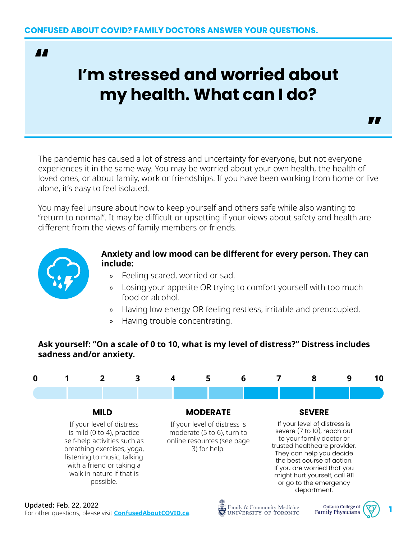**AA** 

# **I'm stressed and worried about my health. What can I do?**

The pandemic has caused a lot of stress and uncertainty for everyone, but not everyone experiences it in the same way. You may be worried about your own health, the health of loved ones, or about family, work or friendships. If you have been working from home or live alone, it's easy to feel isolated.

You may feel unsure about how to keep yourself and others safe while also wanting to "return to normal". It may be difficult or upsetting if your views about safety and health are different from the views of family members or friends.



#### **Anxiety and low mood can be different for every person. They can include:**

"

- » Feeling scared, worried or sad.
- » Losing your appetite OR trying to comfort yourself with too much food or alcohol.
- » Having low energy OR feeling restless, irritable and preoccupied.
- » Having trouble concentrating.

### **Ask yourself: "On a scale of 0 to 10, what is my level of distress?" Distress includes sadness and/or anxiety.**

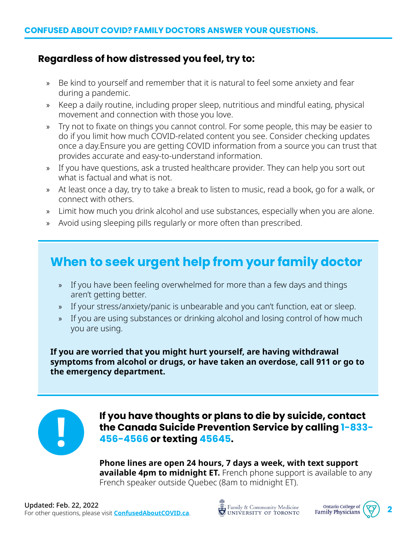## **Regardless of how distressed you feel, try to:**

- » Be kind to yourself and remember that it is natural to feel some anxiety and fear during a pandemic.
- » Keep a daily routine, including proper sleep, nutritious and mindful eating, physical movement and connection with those you love.
- » Try not to fixate on things you cannot control. For some people, this may be easier to do if you limit how much COVID-related content you see. Consider checking updates once a day.Ensure you are getting COVID information from a source you can trust that provides accurate and easy-to-understand information.
- » If you have questions, ask a trusted healthcare provider. They can help you sort out what is factual and what is not.
- » At least once a day, try to take a break to listen to music, read a book, go for a walk, or connect with others.
- » Limit how much you drink alcohol and use substances, especially when you are alone.
- » Avoid using sleeping pills regularly or more often than prescribed.

# **When to seek urgent help from your family doctor**

- » If you have been feeling overwhelmed for more than a few days and things aren't getting better.
- » If your stress/anxiety/panic is unbearable and you can't function, eat or sleep.
- » If you are using substances or drinking alcohol and losing control of how much you are using.

**If you are worried that you might hurt yourself, are having withdrawal symptoms from alcohol or drugs, or have taken an overdose, call 911 or go to the emergency department.**



**If you have thoughts or plans to die by suicide, contact the Canada Suicide Prevention Service by calling 1-833- 456-4566 or texting 45645.** 

**Phone lines are open 24 hours, 7 days a week, with text support available 4pm to midnight ET.** French phone support is available to any French speaker outside Quebec (8am to midnight ET).